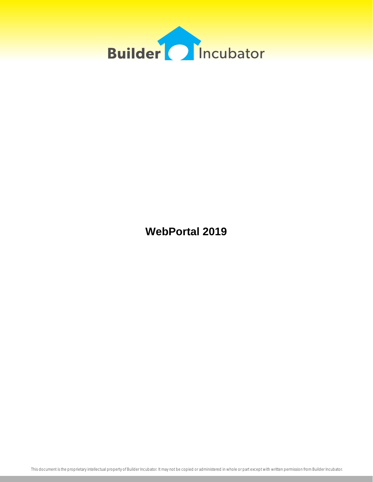

**WebPortal 2019**

This document is the proprietary intellectual property of Builder Incubator. It may not be copied or administered in whole or part except with written permission from Builder Incubator.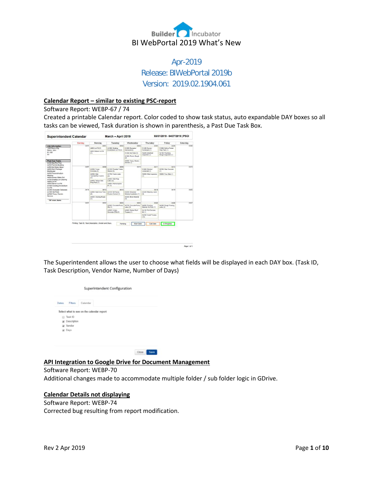

## Apr-2019 Release: BIWebPortal 2019b Version: 2019.02.1904.061

### **Calendar Report – similar to existing PSC-report**

#### Software Report: WEBP-67 / 74

Created a printable Calendar report. Color coded to show task status, auto expandable DAY boxes so all tasks can be viewed, Task duration is shown in parenthesis, a Past Due Task Box.

|                                                                                                                                            | Sunday | Monday                                                | Tuesday                                   | Wednesday                                  | Thursday                                | Friday                                 | Saturday |
|--------------------------------------------------------------------------------------------------------------------------------------------|--------|-------------------------------------------------------|-------------------------------------------|--------------------------------------------|-----------------------------------------|----------------------------------------|----------|
| <b>Job Information</b>                                                                                                                     | 03/31  | 04/01                                                 | 04/02                                     | 04/03                                      | 04/04                                   | <b>DAVIS</b>                           | 04/05    |
| 1552 Demo City<br>Demo, John                                                                                                               |        | A800: Lot Fill (1)                                    | A1000: Grading-<br>Knockdown Lot Fill (1) | A1200: Dumpster<br>Delivered (0)           | A1400: Survey-<br>Formboxed (1)         | A1500: Deliver Footer<br>Prep Pack (1) |          |
| $01 - 100$                                                                                                                                 |        | ASCO: Deliver Lot Fill<br>(1)                         |                                           | A1300: Set Rails (1)                       | A2200: Electrical                       | A2100: Plumbing                        |          |
| A1                                                                                                                                         |        |                                                       |                                           | A1900: Plumb, Rough<br>(2)                 | Inspection (1)                          | Rough Inspection (1)                   |          |
| Past Due Tasks<br>A100:Site-Plot Plan                                                                                                      |        |                                                       |                                           | A2000 Temp. Flechic<br>Service (1)         |                                         |                                        |          |
| A200 Permits-Building<br>A300 Set Water Meter                                                                                              | 04/07  | 04/08                                                 | 04/09                                     | 04/10                                      | 04/11                                   | 04/12                                  | 04/13    |
| A400:Start Package<br>Distributed<br>A500 Preconstruction<br>Meeting<br>A600:Survey-Stake Out<br>A700:Grading-Lot Clearing<br>A800 Lot F4I |        | A1600 Foctor<br>Concrete (1)                          | A1100 Portable Tojate<br>Deliver (1)      |                                            | A1800: Fleeting<br>Understab (1)        | A2700: Slab Concrete<br>m              |          |
|                                                                                                                                            |        | A2300 Sieb<br>Termita/Pest Control                    | A1700: Footer Lisbor<br>(2)               |                                            | A2600: Slab Inspection<br>(1)           | A2800: Pour Slab (1)                   |          |
|                                                                                                                                            |        | (1)<br>A2400: Deliver Stab                            | A2500: Stab Prep<br>Libor(2)              |                                            |                                         |                                        |          |
| AROD Deliver Lot Fill<br>A1000:Grading-Knockdown                                                                                           |        | Prep Pack (1)                                         | A3800: Pull Dumpster<br>#1(1)             |                                            |                                         |                                        |          |
| Lot Fill<br>A1200:Dumpster Delivered                                                                                                       | 04/14  | 04/15                                                 | 04/16                                     | OA/17                                      | 04/18                                   | 04/19                                  | 04/20    |
| A1300 Set Rails<br>A2000:Temp. Electric                                                                                                    |        | A2000 Stab Cure Time<br>$\overline{c}$                | A1100: SB Fence-<br>Erosion Control (1)   | A3200: Schedule<br>Window Installation (1) | A3400: Masonry Labor<br>Q               |                                        |          |
| Service                                                                                                                                    |        | A3000: Grading-Rough<br>(1)                           |                                           | A3300: Block Moterial<br>(t)               |                                         |                                        |          |
| "20" more items.                                                                                                                           | 04/21  | 04/22                                                 | 04/23                                     | 04/24                                      | 04/25                                   | 04/26                                  | 04/27    |
|                                                                                                                                            |        |                                                       | A3500: Concrete Pump<br>Mac (1)           | A3700: Concrete Pump<br>Labor (0)          | A4002 Framing<br>Material 1st Floor (1) | A4200: Rough Framing<br>Labor (2)      |          |
|                                                                                                                                            |        |                                                       | A5600, Lintels-<br>Concrete (PM) (1)      | A3900: Deliver Roof<br>Trusses (1)         | A4100: Pull Durrater<br>#2 (1)          |                                        |          |
|                                                                                                                                            |        |                                                       |                                           |                                            | A4300: Install Trusses<br>(10)          |                                        |          |
|                                                                                                                                            |        |                                                       |                                           |                                            |                                         |                                        |          |
|                                                                                                                                            |        | Printing: Task ID. Task Description. Vendor and Days. | Pending                                   | Start Date                                 | Call Date                               | In Progress                            |          |

The Superintendent allows the user to choose what fields will be displayed in each DAY box. (Task ID, Task Description, Vendor Name, Number of Days)

Page 1 of 1

|       |             | Superintendent Configuration              |
|-------|-------------|-------------------------------------------|
| Dates | Filters     | Calendar                                  |
|       |             | Select what to see on the calendar report |
|       | El Task ID  |                                           |
|       | Description |                                           |
|       | iat Vendor  |                                           |
|       | U. Days     |                                           |
|       |             |                                           |
|       |             |                                           |
|       |             |                                           |

**API Integration to Google Drive for Document Management**

Close Save

Software Report: WEBP-70 Additional changes made to accommodate multiple folder / sub folder logic in GDrive.

## **Calendar Details not displaying**

Software Report: WEBP-74 Corrected bug resulting from report modification.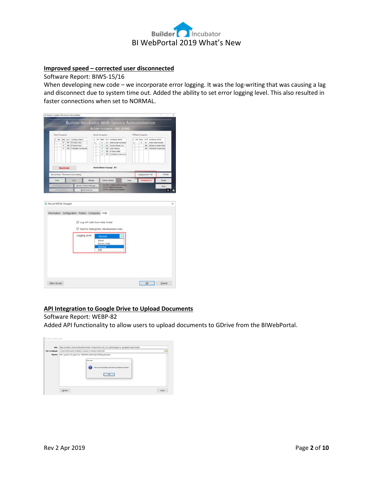

## **Improved speed – corrected user disconnected**

Software Report: BIWS-15/16

When developing new code – we incorporate error logging. It was the log-writing that was causing a lag and disconnect due to system time out. Added the ability to set error logging level. This also resulted in faster connections when set to NORMAL.

|                            |                           |            |                                                  |                                                                           |          |                                                 |                   | Builder Incubator - 998 (BI998)                                         |      |              |                           |                      |                             |                                         |
|----------------------------|---------------------------|------------|--------------------------------------------------|---------------------------------------------------------------------------|----------|-------------------------------------------------|-------------------|-------------------------------------------------------------------------|------|--------------|---------------------------|----------------------|-----------------------------|-----------------------------------------|
| <b>Eclare Companies</b>    |                           |            |                                                  |                                                                           |          | Gemini Companies                                |                   |                                                                         |      |              | <b>PSClient Companies</b> |                      |                             |                                         |
| X NA Data Co#              | ✓<br>✔                    | 997<br>998 | Company Name<br>Bl Demo Data 1<br>Bi Demo Data 1 |                                                                           | x<br>x   | ✔<br>✓                                          | 001<br>002        | NA Data Co # Company Name<br>HIGHLAND HOLDING<br>Paytas Homes, Inc.     |      | $\mathbf{x}$ | ¥.                        | 001<br>998           | X NA Data Co # Company Name | HIGHLAND HOMES<br>Builder Incubator Den |
|                            | ✓                         | 999        | Profitable Constructio                           |                                                                           |          | 7<br>✓<br>v                                     | 900<br>998<br>999 | <b>Astor Homes</b><br>BI Demo Data<br>Profitable Constructio            |      |              |                           | 999                  |                             | Profitable Construction                 |
|                            | <b>Deactivate</b>         |            |                                                  |                                                                           |          |                                                 |                   | Gemini Master Company: 001                                              |      |              |                           |                      |                             |                                         |
|                            |                           |            | Service Status: The service is not running.      |                                                                           |          |                                                 |                   |                                                                         |      |              |                           | Logging Level: Full  |                             | 17:56:08                                |
| Start                      |                           |            | Stop                                             |                                                                           | Settings |                                                 | Gemini Vendors    |                                                                         | Logs |              |                           | <b>Companies (3)</b> |                             | About                                   |
| Install & Start As Service |                           |            |                                                  | Windows Service Manager                                                   |          |                                                 |                   | Fiss /ISS = Install and Start Service<br>/is /iS = Install as a Service |      |              |                           |                      |                             | Close                                   |
| Record Will Be Changed     | <b>Install As Service</b> |            |                                                  | <b>Remove Service</b><br>Information Configuration Folders Companies Logs |          |                                                 |                   | /rs /RS = Remove as a Service                                           |      |              |                           |                      |                             | ٠                                       |
|                            |                           |            |                                                  | C Log API Calls from Web Portal                                           |          |                                                 |                   |                                                                         |      |              |                           |                      |                             |                                         |
|                            |                           |            |                                                  | Logging Level:                                                            |          | Normal<br>None<br>Errors Only<br>Normal<br>Full |                   | 5 Send to DebugView (development only)                                  |      |              |                           |                      |                             |                                         |

## **API Integration to Google Drive to Upload Documents**

### Software Report: WEBP-82

Added API functionality to allow users to upload documents to GDrive from the BIWebPortal.

| URL:                   | http://local.foo.com/joomla/administrator/components/com_iscm_admin/pages/ws_googledriveupload.php                                             |  |
|------------------------|------------------------------------------------------------------------------------------------------------------------------------------------|--|
| <b>File To Upload:</b> | C:\Dev\TestProjects\TestCURL\Contract-A-Pend20150428.PDF                                                                                       |  |
| <b>Results:</b>        | File copied to Google Drive: 1ElehNP9_7JM6oSSiCQk0PegcyLkuSyA6<br>×<br>Post test<br>File was Successfully sent and Successfully recevied<br>OK |  |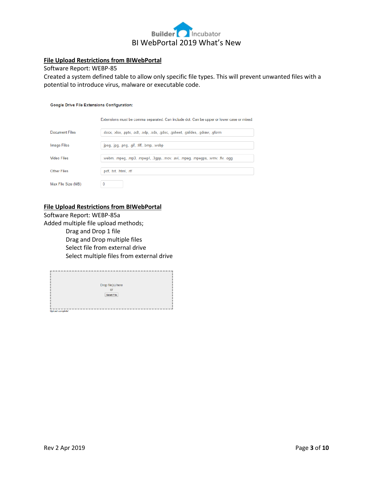

## **File Upload Restrictions from BIWebPortal**

#### Software Report: WEBP-85

Created a system defined table to allow only specific file types. This will prevent unwanted files with a potential to introduce virus, malware or executable code.

#### Google Drive File Extensions Configuration:

Extensions must be comma separated. Can include dot. Can be upper or lower case or mixed.

| Document Files     | .docx, .xlsx, .pptx, .odt, .odp, .ods, .gdoc, .gsheet, .gslides, .gdraw, .gform |
|--------------------|---------------------------------------------------------------------------------|
|                    |                                                                                 |
| <b>Image Files</b> | .jpeg, .jpg, .png, .gif, .tiff, .bmp, .webp                                     |
|                    |                                                                                 |
| Video Files        | .webm, .mpeg, .mp3, .mpeg4, .3gpp, .mov, .avi, .mpeg, .mpegps, .wmv, .flv, .ogg |
|                    |                                                                                 |
| <b>Other Files</b> | .pdf, .txt, .html, .rtf                                                         |
|                    |                                                                                 |
| Max File Size (MB) |                                                                                 |

#### **File Upload Restrictions from BIWebPortal**

Software Report: WEBP-85a Added multiple file upload methods; Drag and Drop 1 file Drag and Drop multiple files Select file from external drive Select multiple files from external drive

| Drop file(s) here       |  |
|-------------------------|--|
|                         |  |
|                         |  |
| Select File             |  |
|                         |  |
|                         |  |
|                         |  |
|                         |  |
|                         |  |
| <b>Upload complete!</b> |  |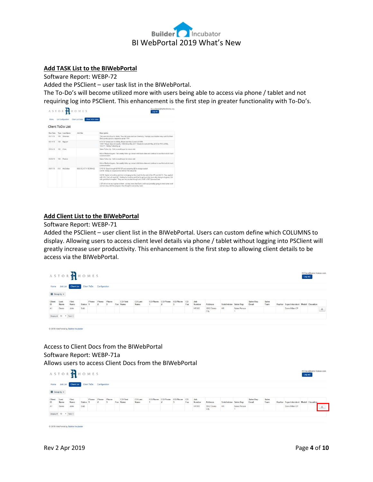

### **Add TASK List to the BIWebPortal**

Software Report: WEBP-72

Added the PSClient – user task list in the BIWebPortal.

The To-Do's will become utilized more with users being able to access via phone / tablet and not requiring log into PSClient. This enhancement is the first step in greater functionality with To-Do's.

| Home            |     | List Configuration      | Client ToDo Sales<br>Client List Sales |                                                                                                                                                                                                                                                                                                                                                                                                                                                                                                                                                                                                                                      |
|-----------------|-----|-------------------------|----------------------------------------|--------------------------------------------------------------------------------------------------------------------------------------------------------------------------------------------------------------------------------------------------------------------------------------------------------------------------------------------------------------------------------------------------------------------------------------------------------------------------------------------------------------------------------------------------------------------------------------------------------------------------------------|
|                 |     | <b>Client ToDo List</b> |                                        |                                                                                                                                                                                                                                                                                                                                                                                                                                                                                                                                                                                                                                      |
| Due Date        |     | Type Last Name          | Job Site                               | Description                                                                                                                                                                                                                                                                                                                                                                                                                                                                                                                                                                                                                          |
| <b>DEVISITE</b> | 100 | Sharman                 |                                        | This was one of our LL leads. They did come and sea Gramercy. Perhaps your location may work for them.<br>Sha's pretty quick to respond to email. WW                                                                                                                                                                                                                                                                                                                                                                                                                                                                                 |
| 05/14/18        | 100 | Nauven                  |                                        | 5/14/18 Turned over to Ashley. Buyer now has 2 years at 1099.<br>10/9/17 Boyer does not qualify. 1099 Since May 2017. Needs to wall until May 2018 for FHA at HSL.<br>10/3/17 - Ashley Following up.                                                                                                                                                                                                                                                                                                                                                                                                                                 |
| 05/24/18        | 100 | Cotto                   |                                        | Sales Follow Up - Call or email buyer for return visit.<br>Hot or Medium buyers - Set weekly follow up contact with future date and continue to use this to-do to track<br>communication.                                                                                                                                                                                                                                                                                                                                                                                                                                            |
| 05/26/18        | 150 | Padrick                 |                                        | Sales Follow Up - Call or email buyer for return visit.<br>Hot or Madium buyers - Set weekly follow up contact with future date and continue to use this to-do to track<br>communication                                                                                                                                                                                                                                                                                                                                                                                                                                             |
| 06/01/18        | 010 | McCiellan               | <b><i>RASS SE ATTH TERRACE</i></b>     | 5/10/15- Buyer brought \$8100 DP, and remaining \$\$ for design studiof<br>5/4/18-Waitig on response from Brit at PSS about \$\$<br>5/2/18- Spoke to Levitriss and she is bringing me the check for the rest of the DP and 4/4/18- They applied<br>with HSL. Earl will need QF. Walting for Levitriss and Earl to get back into town after being in Augusta. GA<br>with grandma in hospital. They are very excited though and LOVE LOVE SummerCrest<br>( QF will not be any suprise to them, as they knew that Earls credit was probably going to need some work<br>and are okay with the program, they thought it was pretty neat). |

### **Add Client List to the BIWebPortal**

Software Report: WEBP-71

Added the PSClient – user client list in the BIWebPortal. Users can custom define which COLUMNS to display. Allowing users to access client level details via phone / tablet without logging into PSClient will greatly increase user productivity. This enhancement is the first step to allowing client details to be access via the BIWebPortal.

| Home         |              | <b>Job List Client List</b> |          |       | Client ToDo Configuration |       |                      |                 |          |                   |           |               |                   |                       |              |                    |               |                                        |        |
|--------------|--------------|-----------------------------|----------|-------|---------------------------|-------|----------------------|-----------------|----------|-------------------|-----------|---------------|-------------------|-----------------------|--------------|--------------------|---------------|----------------------------------------|--------|
|              | E Group by - |                             |          |       |                           |       |                      |                 |          |                   |           |               |                   |                       |              |                    |               |                                        |        |
| Client<br>ID | Last<br>Name | First<br>Name               | Status 1 | Phone | Phone                     | Phone | CO First<br>Fax Name | CO Last<br>Name | CO Phone | CO Phone CO Phone | co<br>Fax | Job<br>Number | Address           | Subdivision Sales Rep |              | Sales Rep<br>Email | Sales<br>Team | Realtor Superintendent Model Elevation |        |
| A1           | Demo         | John                        | Sold     |       |                           |       |                      |                 |          |                   |           | HR100         | 1552 Demo<br>City | HR.                   | Sales Person |                    |               | Dave Miller-CP                         | $\tau$ |

## Access to Client Docs from the BIWebPortal Software Report: WEBP-71a Allows users to access Client Docs from the BIWebPortal

|                              |              | ASTORAHOMES          |               |       |                           |       |                      |                 |          |                   |           |               |                   |                       |              |                    |               |                                        | Log out | Hi Dave@astor-homes.com. |   |
|------------------------------|--------------|----------------------|---------------|-------|---------------------------|-------|----------------------|-----------------|----------|-------------------|-----------|---------------|-------------------|-----------------------|--------------|--------------------|---------------|----------------------------------------|---------|--------------------------|---|
| Home<br><b>IE</b> Group by ▼ |              | Job List Client List |               |       | Client ToDo Configuration |       |                      |                 |          |                   |           |               |                   |                       |              |                    |               |                                        |         |                          |   |
| Client<br>ID.                | Last<br>Name | First<br>Name        | <b>Status</b> | Phone | Phone                     | Phone | CO First<br>Fax Name | CO Last<br>Name | CO Phone | CO Phone CO Phone | CO<br>Fax | Job<br>Number | <b>Address</b>    | Subdivision Sales Rep |              | Sales Rep<br>Email | Sales<br>Team | Realtor Superintendent Model Elevation |         |                          |   |
| A1                           | Demo         | John                 | Sold          |       |                           |       |                      |                 |          |                   |           | HR100         | 1552 Demo<br>City | <b>HR</b>             | Sales Person |                    |               | Dave Miller-CP                         |         |                          | 土 |

C 2019 WebPortal by Builder Incubator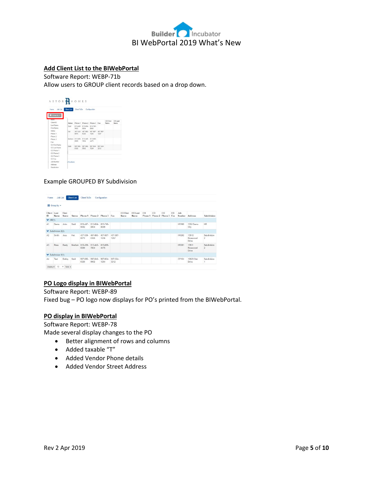

## **Add Client List to the BIWebPortal**

Software Report: WEBP-71b Allow users to GROUP client records based on a drop down.

|               |        |          | Client ToDo Configuration |          |          |          |        |
|---------------|--------|----------|---------------------------|----------|----------|----------|--------|
|               |        |          |                           |          |          |          |        |
| Group by -    |        |          |                           |          |          |          |        |
| <b>Nomina</b> |        |          |                           |          |          | CO First | COLast |
| Client ID     | Status | Phone 1  | Phone 2                   | Phone 3  | Fax      | Namo     | Name   |
| Last Name     | Sold   |          | 813-447- 813-664-         | 813-745- |          |          |        |
| First Name    |        | 0.022    | 8854                      | saan     |          |          |        |
| Status        | Hel    | 407-559- | 407-885-                  | 407-887- | 407-887- |          |        |
| Phone 1       |        | 8876     | 8326                      | 1256     | 1257     |          |        |
| Phone 2       |        |          |                           |          |          |          |        |
| Phone 3       | Medium | 813-459- | 813-445-                  | 813-885  |          |          |        |
| Fax           |        | 6689     | 7854                      | 4475     |          |          |        |
| CO First Name | Sold   | 997,885. | 997,846.                  | 997,854. | 997,554  |          |        |
| CO Last Name  |        | 6326     | 9932                      | 1254     | 3212     |          |        |
| CO Phone 1    |        |          |                           |          |          |          |        |
| CO Phone 2    |        |          |                           |          |          |          |        |
| CO Phone 3    |        |          |                           |          |          |          |        |
|               |        |          |                           |          |          |          |        |

## Example GROUPED BY Subdivision

|                             | E Group by -                           |               |               |                  |                          |                  |                  |                  |                 |               |    |                           |    |               |                                   |                                        |
|-----------------------------|----------------------------------------|---------------|---------------|------------------|--------------------------|------------------|------------------|------------------|-----------------|---------------|----|---------------------------|----|---------------|-----------------------------------|----------------------------------------|
| Client Last<br>ID           | Name                                   | First<br>Name | <b>Status</b> |                  | Phone 1 Phone 2          | Phone 3 Fax      |                  | CO First<br>Name | CO Last<br>Name | CO<br>Phone 1 | co | CO<br>Phone 2 Phone 3 Fax | co | Job<br>Number | <b>Address</b>                    | Subdivision                            |
| $\blacktriangleright$ HR(1) |                                        |               |               |                  |                          |                  |                  |                  |                 |               |    |                           |    |               |                                   |                                        |
| A1                          | Demo                                   | John          | Sold          | 813-447-<br>9682 | 813-664-813-745-<br>8854 | 8849             |                  |                  |                 |               |    |                           |    | <b>HR100</b>  | 1552 Demo<br>City                 | HR.                                    |
|                             | $\blacktriangleright$ Subdivision 2(2) |               |               |                  |                          |                  |                  |                  |                 |               |    |                           |    |               |                                   |                                        |
| A2                          | Smith                                  | Jess          | Hot           | 407-559-<br>8876 | 407-885-<br>6326         | 407-887-<br>1256 | 407-887-<br>1257 |                  |                 |               |    |                           |    | HR202         | 13512<br>Rosewood<br><b>Drive</b> | Subdivision<br>$\overline{\mathbf{z}}$ |
| A <sub>3</sub>              | <b>Ross</b>                            | Besty         | Medium        | 813-459-<br>6689 | 813-445-<br>7854         | 813-885-<br>4475 |                  |                  |                 |               |    |                           |    | <b>HR201</b>  | 13511<br>Rosewood<br>Drive        | Subdivision<br>$\overline{c}$          |
|                             | $\blacktriangleright$ Subdivision 1(1) |               |               |                  |                          |                  |                  |                  |                 |               |    |                           |    |               |                                   |                                        |
| A4                          | Test                                   | Bobby         | Sold          | 997-885-<br>6326 | 997-846-<br>9932         | 997-854-<br>1254 | 997-554-<br>3212 |                  |                 |               |    |                           |    | CP104         | 10029 Oak<br>Drive                | Subdivision                            |

### **PO Logo display in BIWebPortal**

Software Report: WEBP-89 Fixed bug – PO logo now displays for PO's printed from the BIWebPortal.

## **PO display in BIWebPortal**

Software Report: WEBP-78 Made several display changes to the PO

- Better alignment of rows and columns
- Added taxable "T"
- Added Vendor Phone details
- Added Vendor Street Address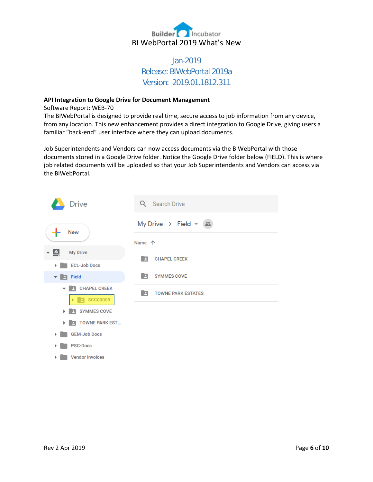

## Jan-2019 Release: BIWebPortal 2019a Version: 2019.01.1812.311

#### **API Integration to Google Drive for Document Management**

Software Report: WEB-70

The BIWebPortal is designed to provide real time, secure access to job information from any device, from any location. This new enhancement provides a direct integration to Google Drive, giving users a familiar "back-end" user interface where they can upload documents.

Job Superintendents and Vendors can now access documents via the BIWebPortal with those documents stored in a Google Drive folder. Notice the Google Drive folder below (FIELD). This is where job related documents will be uploaded so that your Job Superintendents and Vendors can access via the BIWebPortal.



▶ Vendor Invoices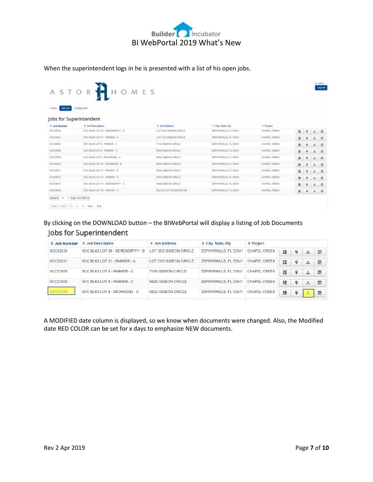

When the superintendent logs in he is presented with a list of his open jobs.

| ASTOR'                                                                              | HHOMES                            |                          |                               |                      |         |    | Log out                                         |
|-------------------------------------------------------------------------------------|-----------------------------------|--------------------------|-------------------------------|----------------------|---------|----|-------------------------------------------------|
|                                                                                     |                                   |                          |                               |                      |         |    |                                                 |
|                                                                                     |                                   |                          |                               |                      |         |    |                                                 |
| Job List Configuration<br><b>Home</b>                                               |                                   |                          |                               |                      |         |    |                                                 |
| Jobs for Superintendent                                                             |                                   |                          |                               |                      |         |    |                                                 |
| # Job Number                                                                        | <b>C</b> Job Description          | 4 Job Address            | <sup>c</sup> City, State, Zip | <sup>0</sup> Project |         |    |                                                 |
| SCC02030                                                                            | SCC BLK2 LOT 30 - SERENDIPITY - B | LOT 30/2 GIDEON CIRCLE   | ZEPHYRHILLS, FL 33541         | CHAPEL CREEK         | 田 9 土 田 |    |                                                 |
| SCC02031                                                                            | SCC BLK2 LOT 31 - PARKER - A      | LOT 31/2 GIDEON CIRCLE   | ZEPHYRHILLS, FL 33541         | CHAPEL CREEK         | Ⅲ 9     | 土田 |                                                 |
| SCC03005                                                                            | SCC BLK3 LOT 5 - PARKER - C       | 7116 GIDEON CIRCLE       | ZEPHYRHILLS, FL 33541         | CHAPEL CREEK         | ■ ♀     | 土田 |                                                 |
| SCC03008                                                                            | SCC BUCLOT & - PARKER - C         | 6828 GIDEON CIRCLE       | ZEPHYRHILLS, FL 33541         | CHAPEL CREEK         | 田 9 土 田 |    |                                                 |
| <b>SCC03009</b>                                                                     | SCC BLK3 LOT 9 - RICHMOND - A     | 6832 GIDEON CIRCLE       | ZEPHYRHILLS, FL 33541         | CHAPEL CREEK         | 田 9 土 田 |    |                                                 |
| SCC03010                                                                            | SCC BLK3 LOT 10 - RICHMOND - B    | 6836 GIDEON CIRCLE       | ZEPHYRHILLS, FL 33541         | CHAPEL CREEK         |         |    |                                                 |
|                                                                                     | SCC BLK3 LOT 11 - PARKER - B      | 6840 GIDEON CIRCLE       | ZEPHYRHILLS, FL 33541         | CHAPEL CREEK         |         |    | 土田                                              |
|                                                                                     | SCC BLK3 LOT 12 - PARKER - C      | 6844 GIDEON CIRCLE       | ZEPHYRHILLS, FL 33541         | CHAPEL CREEK         |         |    |                                                 |
|                                                                                     | SCC BLK3 LOT 13 - SERENDIPITY - C | 6848 GIDEON CIRCLE       | ZEPHYRHILLS, FL 33541         | CHAPEL CREEK         |         |    |                                                 |
|                                                                                     | SCC BLK3 LOT 32 - ORCHID - A      | BLK 03 LOT 32 GIDEON CIR | ZEPHYRHILLS, FL 33541         | CHAPEL CREEK         |         |    |                                                 |
| SCC03011<br>SCC03012<br>SCC03013<br>SCC03032<br>Display # 10 * Page 1 of 3 Total 24 |                                   |                          |                               |                      |         |    | 目 ♀ 土 回<br>Ⅲ 9<br>田 9 土 田<br>目 ♀ 土 回<br>田 9 土 田 |

By clicking on the DOWNLOAD button – the BIWebPortal will display a listing of Job Documents Jobs for Superintendent

| $\div$ Job Number | <b>≑</b> Job Description          | $\div$ Job Address        | $\div$ City, State, Zip | $\div$ Project      |                                |  |
|-------------------|-----------------------------------|---------------------------|-------------------------|---------------------|--------------------------------|--|
| <b>SCC02030</b>   | SCC BLK2 LOT 30 - SERENDIPITY - B | LOT 30/2 GIDEON CIRCLE    | ZEPHYRHILLS, FL 33541   | <b>CHAPEL CREEK</b> | 疆<br>匾<br>o<br>土               |  |
| SCC02031          | SCC BLK2 LOT 31 - PARKER - A      | LOT 31/2 GIDEON CIRCLE    | ZEPHYRHILLS, FL 33541   | <b>CHAPEL CREEK</b> | ₩<br>僵<br>o<br>Ł.              |  |
| SCC03005          | SCC BLK3 LOT 5 - PARKER - C       | 7116 GIDEON CIRCLE        | ZEPHYRHILLS, FL 33541   | <b>CHAPEL CREEK</b> | ₩<br>匾<br>o<br>土               |  |
| <b>SCC03008</b>   | SCC BLK3 LOT 8 - PARKER - C       | 6828 GIDEON CIRCLE        | ZEPHYRHILLS, FL 33541   | <b>CHAPEL CREEK</b> | $\equiv$<br>匾<br>9<br>土<br>. . |  |
| SCC03009          | SCC BLK3 LOT 9 - RICHMOND - A     | <b>6832 GIDEON CIRCLE</b> | ZEPHYRHILLS, FL 33541   | <b>CHAPEL CREEK</b> | 疆<br>匾<br>o                    |  |

A MODIFIED date column is displayed, so we know when documents were changed. Also, the Modified date RED COLOR can be set for x days to emphasize NEW documents.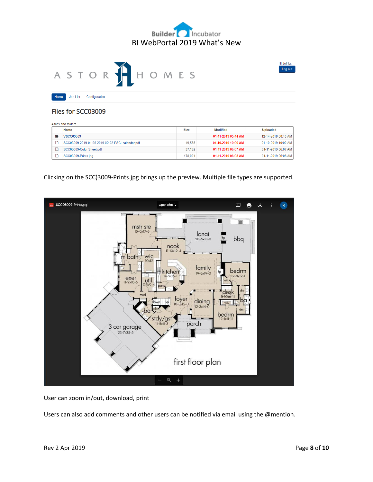

Hi JeffTa,

Log out



Home Job List Configuration

Files for SCC03009

| 4 files and folders |                                                  |             |                     |                     |  |  |  |
|---------------------|--------------------------------------------------|-------------|---------------------|---------------------|--|--|--|
|                     | Name                                             | <b>Size</b> | <b>Modified</b>     | <b>Uploaded</b>     |  |  |  |
|                     | <b>VSCC03009</b>                                 |             | 01-11-2019 05:44 AM | 12-14-2018 08:10 AM |  |  |  |
|                     | SCC03009-2019-01-06-2019-02-02-PSCI-calendar.pdf | 19.538      | 01-10-2019 10:00 AM | 01-10-2019 10:00 AM |  |  |  |
|                     | SCC03009-Color Sheet.pdf                         |             | 01-11-2019 06:07 AM | 01-11-2019 06:07 AM |  |  |  |
|                     | SCC03009-Prints.jpg                              | 178,001     | 01-11-2019 06:08 AM | 01-11-2019 06:08 AM |  |  |  |

Clicking on the SCC)3009-Prints.jpg brings up the preview. Multiple file types are supported.



User can zoom in/out, download, print

Users can also add comments and other users can be notified via email using the @mention.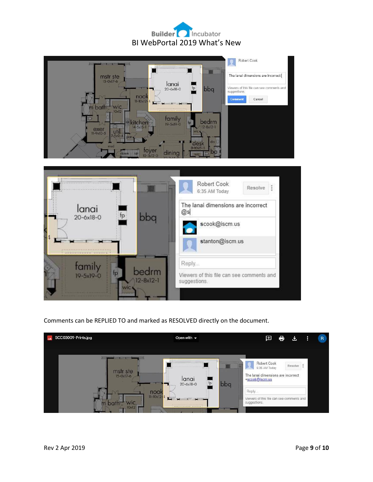## **Builder** Incubator BI WebPortal 2019 What's New





## Comments can be REPLIED TO and marked as RESOLVED directly on the document.